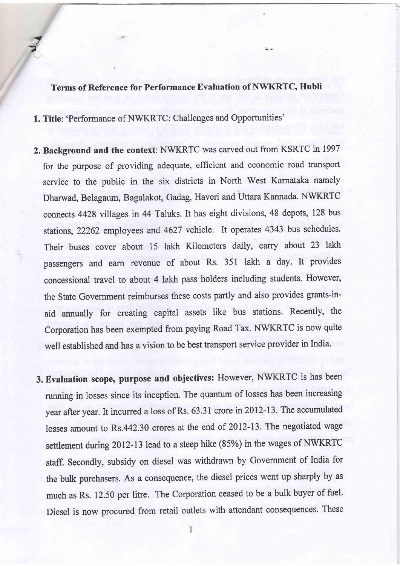## Terms of Reference for Performance Evaluation of NWKRTC, Hubli

1. Title: 'Performance of NWKRTC: Challenges and Opportunities'

the second 7

- 2. Background and the context: NWKRTC was carved out from KSRTC in <sup>1997</sup> for the purpose of providing adequate, efficient and economic road transport service to the public in the six districts in North West Karnataka namely Dharwad, Belagaum, Bagalakot, Gadag, Haveri and Uttara Kannada. NWKRTC connects 4428 villages in 44 Taluks. It has eight divisions, 48 depots, 128 bus stations, 22262 employees and 4627 vehicle. It operates 4343 bus schedules. Their buses cover about 15 lakh Kilometers daily, carry about 23 lakh passengers and earn revenue of about Rs, 351 lakh a day. It provides concessional travel to about 4 lakh pass holders including students. However, the State Government reimburses these costs partly and also provides grants-inaid annually for creating capital assets like bus stations. Recently, the Corporation has been exempted from paying Road Tax. NWKRTC is now quite well established and has a vision to be best transport service provider in India.
- 3. Evaluation scope, purpose and objectives: However, NWKRTC is has been running in losses since its incepion. The quantum of losses has been increasing year after year. It incurred a loss of Rs. 63.31 crore in 2012-13. The accumulated losses amount to Rs.442.30 crores at the end of 2012-13. The negotiated wage settlement during 2012-13 lead to a steep hike (85%) in the wages of NWKRTC staff. Secondly, subsidy on diesel was withdrawn by Govemment of India for the bulk purchasers. As a consequence, the diesel prices went up sharply by as much as Rs. L2.50 per litre. The Corporation ceased to be a bulk buyer of fuel. Diesel is now procured from retail outlets with attendant consequences. These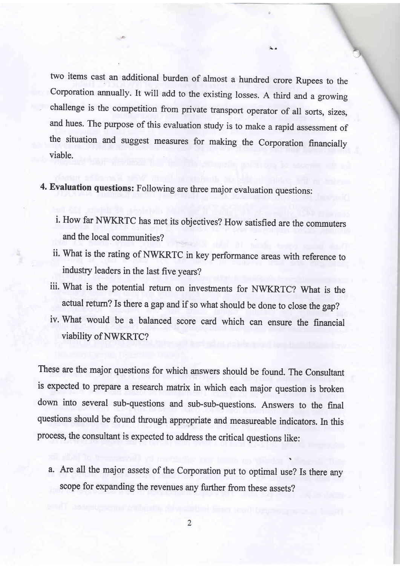two items cast an additional burden of almost a hundred crore Rupees to the Corporation annually. It will add to the existing losses. A third and a growing challenge is the competition from private transport operator of all sorts, sizes, and hues. The purpose of this evaluation study is to make a rapid assessment of the situation and suggest measures for making the Corporation financially viable.

4. Evaluation questions: Following are three major evaluation questions:

- i. How far NWKRTC has met its objectives? How satisfied are the commuters and the local communities?
- ii. What is the rating of NWKRTC in key performance areas with reference to industry leaders in the last five years?
- iii. What is the potential return on investments for NWKRTC? What is the actual return? Is there a gap and if so what should be done to close the gap?
- iv. What would be a balanced score card which can ensure the financial viability of NWKRTC?

These are the major questions for which answers should be found. The Consultant is expected to prepare a research matrix in which each major question is broken down into several sub-questions and sub-sub-questions. Answers to the final questions should be found through appropriate and measureable indicators. In this process, the consultant is expected to address the critical questions like:

a. Are all the major assets of the Corporation put to optimal use? Is there any scope for expanding the revenues any further from these assets?

\

 $\overline{2}$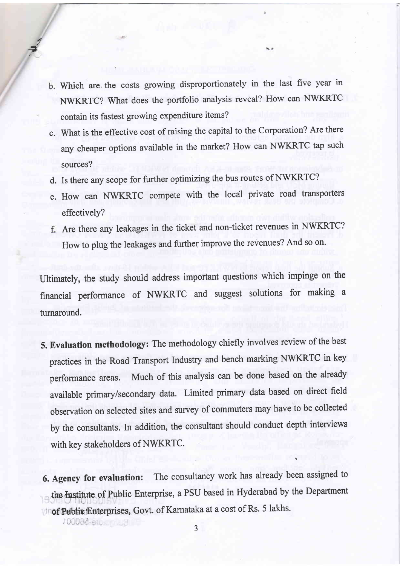- b. Which are the costs growing disproportionately in the last five year in NWKRTC? What does the portfolio analysis reveal? How can NWKRTC contain its fastest growing expenditure items?
- c. What is the effective cost of raising the capital to the Corporation? Are there any cheaper options available in the market? How can NWKRTC tap such sources?
- d. Is there any scope for further optimizing the bus routes of NWKRTC?
- e. How can NWKRTC compete with the local private road transporters effectively?
- Are there any leakages in the ticket and non-ticket revenues in NWKRTC? How to plug the leakages and further improve the revenues? And so on.

Ultimately, the study should address important questions which impinge on the financial performance of NWKR'TC and suggest solutions for making <sup>a</sup> turnaround.

5. Evaluation methodology: The methodology chiefly involves review of the best practices in the Road Transport Industry and bench marking NWKRTC in key performance areas. Much of this analysis can be done based on the already available primary/secondary data. Limited primary data based on direct field observation on selected sites and survey of commuters may have to be collected by the consultants. In addition, the consultant should conduct depth interviews with key stakeholders of NWKRTC.

6. Agency for evaluation: The consultancy work has already been assigned to the Institute of Public Enterprise, a PSU based in Hyderabad by the Department **'Or Of Public 'Enterprises, Govt. of Karnataka at a cost of Rs. 5 lakhs.** 

\

.):

7 I<sub>n</sub>